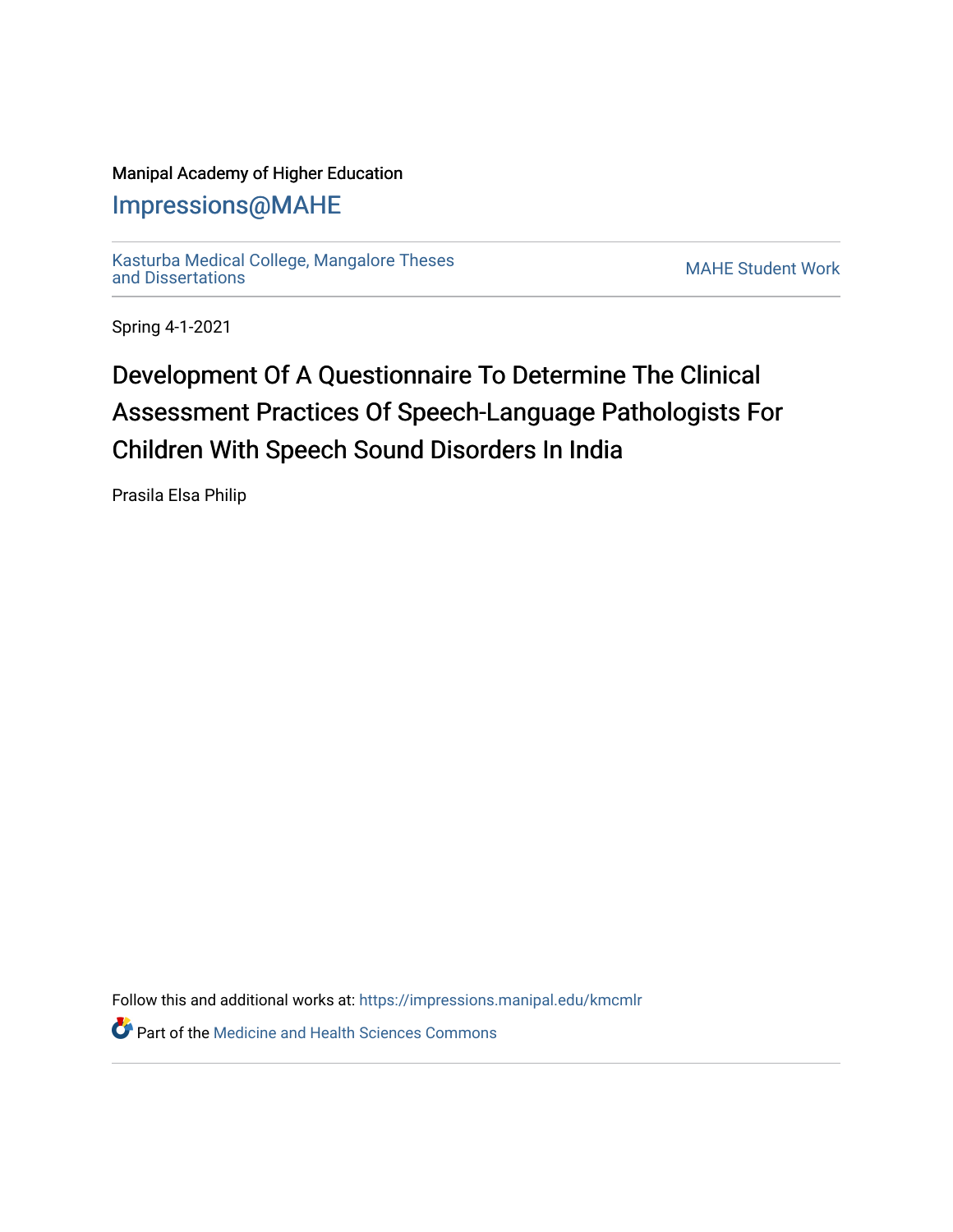### Manipal Academy of Higher Education

## [Impressions@MAHE](https://impressions.manipal.edu/)

[Kasturba Medical College, Mangalore Theses](https://impressions.manipal.edu/kmcmlr) [and Dissertations](https://impressions.manipal.edu/kmcmlr) [MAHE Student Work](https://impressions.manipal.edu/student-work) 

Spring 4-1-2021

# Development Of A Questionnaire To Determine The Clinical Assessment Practices Of Speech-Language Pathologists For Children With Speech Sound Disorders In India

Prasila Elsa Philip

Follow this and additional works at: [https://impressions.manipal.edu/kmcmlr](https://impressions.manipal.edu/kmcmlr?utm_source=impressions.manipal.edu%2Fkmcmlr%2F219&utm_medium=PDF&utm_campaign=PDFCoverPages) 

**Part of the Medicine and Health Sciences Commons**